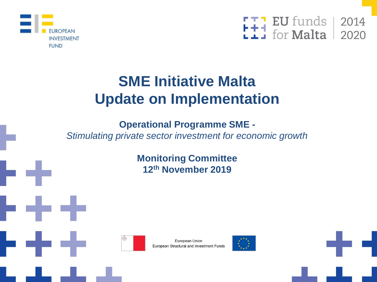



# **SME Initiative Malta Update on Implementation**

**Operational Programme SME -**

*Stimulating private sector investment for economic growth*

**Monitoring Committee 12th November 2019**





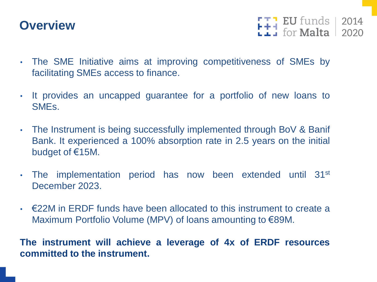## **Overview**

 $F + 1$  EU funds 2014

- The SME Initiative aims at improving competitiveness of SMEs by facilitating SMEs access to finance.
- It provides an uncapped guarantee for a portfolio of new loans to SMEs.
- The Instrument is being successfully implemented through BoV & Banif Bank. It experienced a 100% absorption rate in 2.5 years on the initial budget of €15M.
- The implementation period has now been extended until 31<sup>st</sup> December 2023.
- $\cdot$   $\epsilon$ 22M in FRDF funds have been allocated to this instrument to create a Maximum Portfolio Volume (MPV) of loans amounting to €89M.

**The instrument will achieve a leverage of 4x of ERDF resources committed to the instrument.**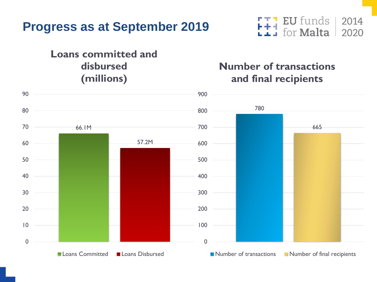

#### **Loans committed and disbursed (millions)**

#### **EU** funds Ħ for **Malta**

#### **Number of transactions and final recipients**

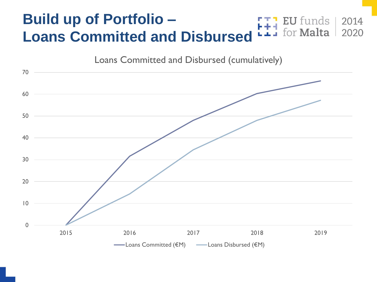#### **Build up of Portfolio – EU** funds for **Malta Loans Committed and Disbursed**



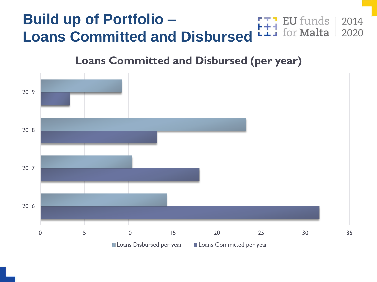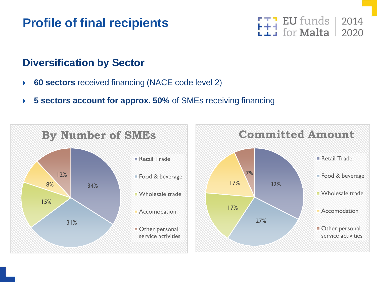## **Profile of final recipients**



#### **Diversification by Sector**

- **60 sectors** received financing (NACE code level 2)
- **5 sectors account for approx. 50%** of SMEs receiving financing

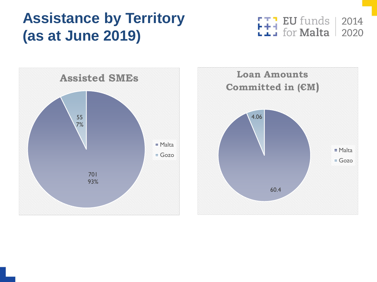# **Assistance by Territory (as at June 2019)**

 $\begin{array}{|c|c|c|c|}\n \text{F} & \text{F} & \text{EU funds} & 2014 \\
 \text{F} & \text{for Malta} & 2020 & \end{array}$ 



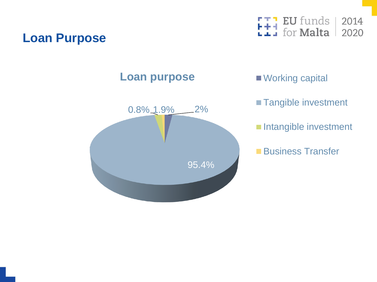## **Loan Purpose**



### **Loan purpose** Working capital



- **Tangible investment**
- Intangible investment
- ■Business Transfer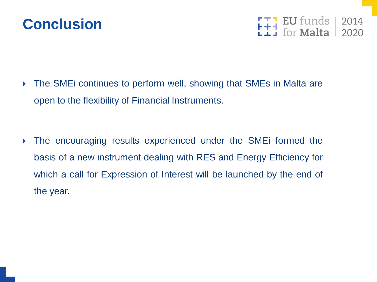



 The SMEi continues to perform well, showing that SMEs in Malta are open to the flexibility of Financial Instruments.

 The encouraging results experienced under the SMEi formed the basis of a new instrument dealing with RES and Energy Efficiency for which a call for Expression of Interest will be launched by the end of the year.